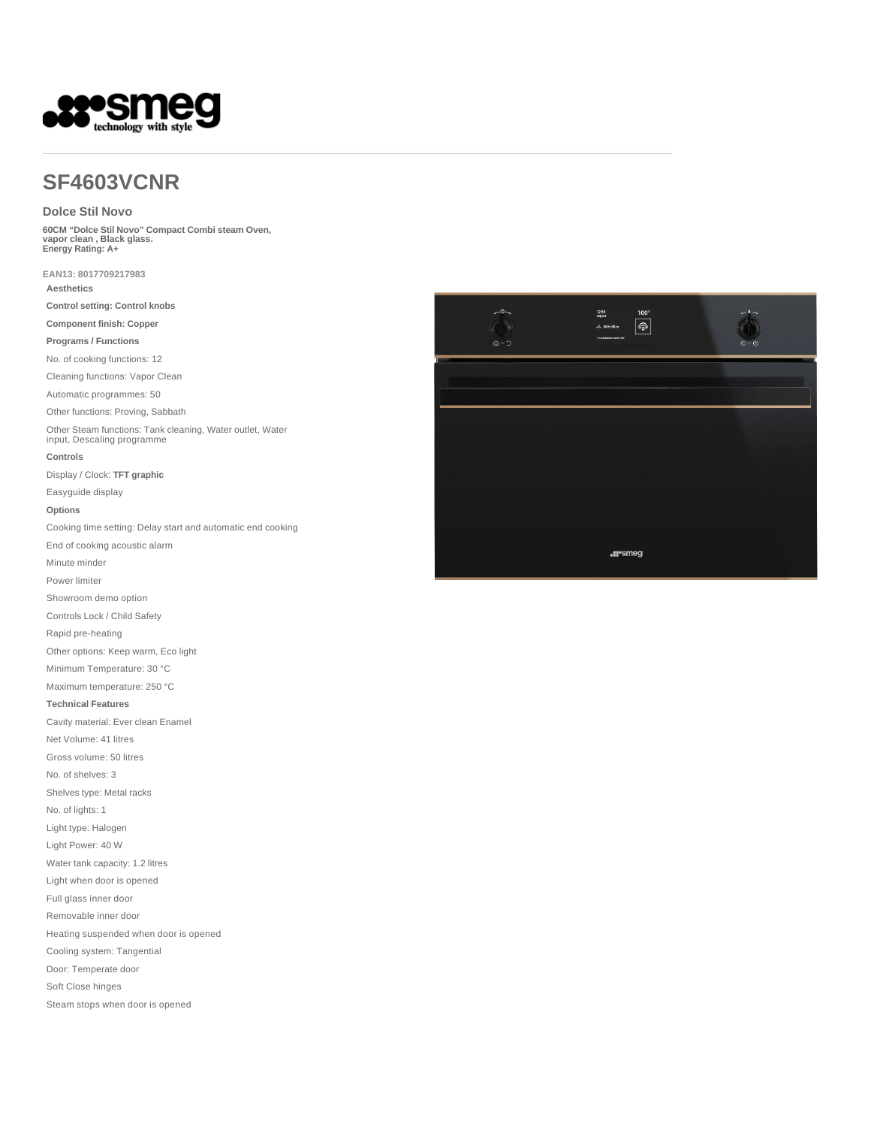

# **SF4603VCNR**

#### **Dolce Stil Novo**

**60CM "Dolce Stil Novo" Compact Combi steam Oven, vapor clean , Black glass. Energy Rating: A+** 

**EAN13: 8017709217983**

**Aesthetics**

**Control setting: Control knobs**

**Component finish: Copper**

**Programs / Functions**

No. of cooking functions: 12

Cleaning functions: Vapor Clean

Automatic programmes: 50

Other functions: Proving, Sabbath

Other Steam functions: Tank cleaning, Water outlet, Water input, Descaling programme

#### **Controls**

Display / Clock: **TFT graphic**

Easyguide display

#### **Options**

Cooking time setting: Delay start and automatic end cooking

End of cooking acoustic alarm

Minute minder

Power limiter

Showroom demo option

Controls Lock / Child Safety

Rapid pre-heating

Other options: Keep warm, Eco light

Minimum Temperature: 30 °C

Maximum temperature: 250 °C

#### **Technical Features**

Cavity material: Ever clean Enamel

Net Volume: 41 litres

Gross volume: 50 litres

No. of shelves: 3

Shelves type: Metal racks

No. of lights: 1

Light type: Halogen

Light Power: 40 W

Water tank capacity: 1.2 litres

Light when door is opened

Full glass inner door

Removable inner door

Heating suspended when door is opened

Cooling system: Tangential

Door: Temperate door

Soft Close hinges

Steam stops when door is opened

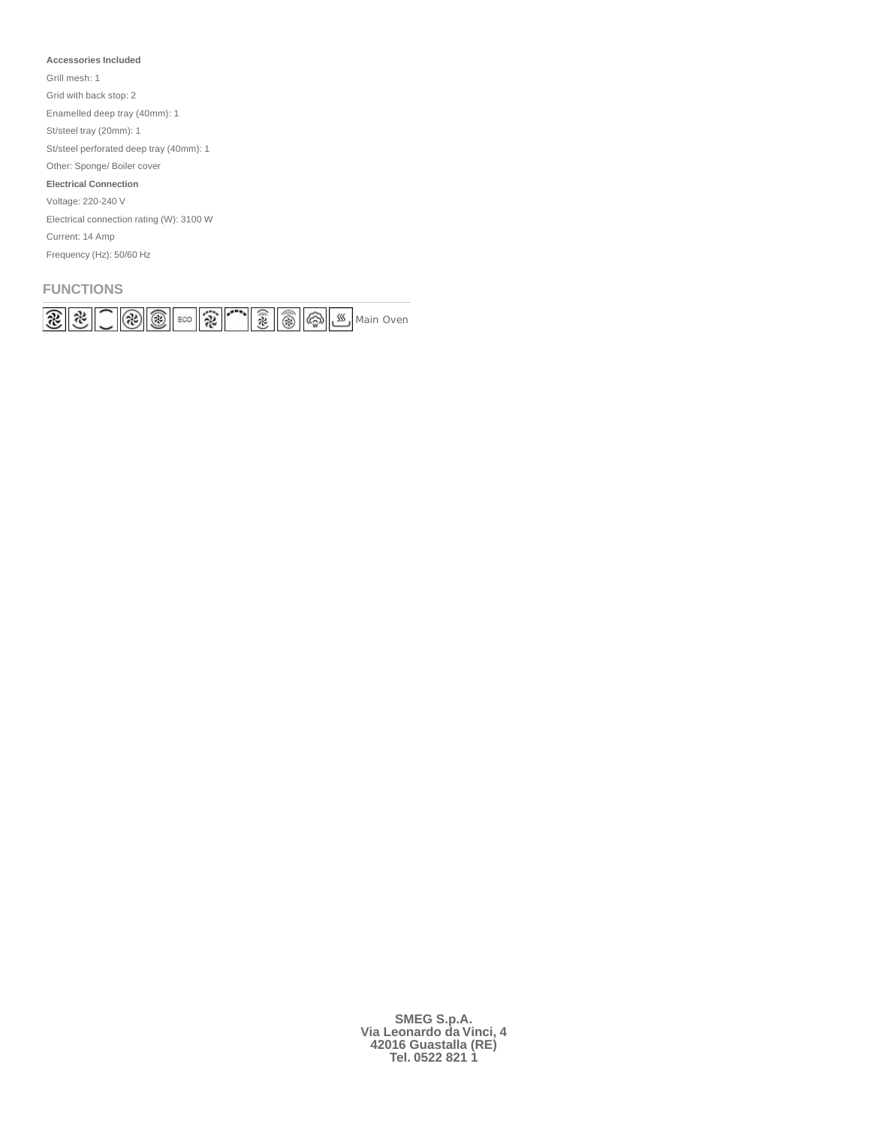#### **Accessories Included**

Grill mesh: 1

Grid with back stop: 2

Enamelled deep tray (40mm): 1

St/steel tray (20mm): 1

St/steel perforated deep tray (40mm): 1

Other: Sponge/ Boiler cover

**Electrical Connection**

Voltage: 220-240 V

Electrical connection rating (W): 3100 W

Current: 14 Amp

Frequency (Hz): 50/60 Hz

### **FUNCTIONS**

| $\mathbb{R}$<br>$\sim$ |  | w |  |
|------------------------|--|---|--|

**SMEG S.p.A. Via Leonardo da Vinci, 4 42016 Guastalla (RE) Tel. 0522 821 1**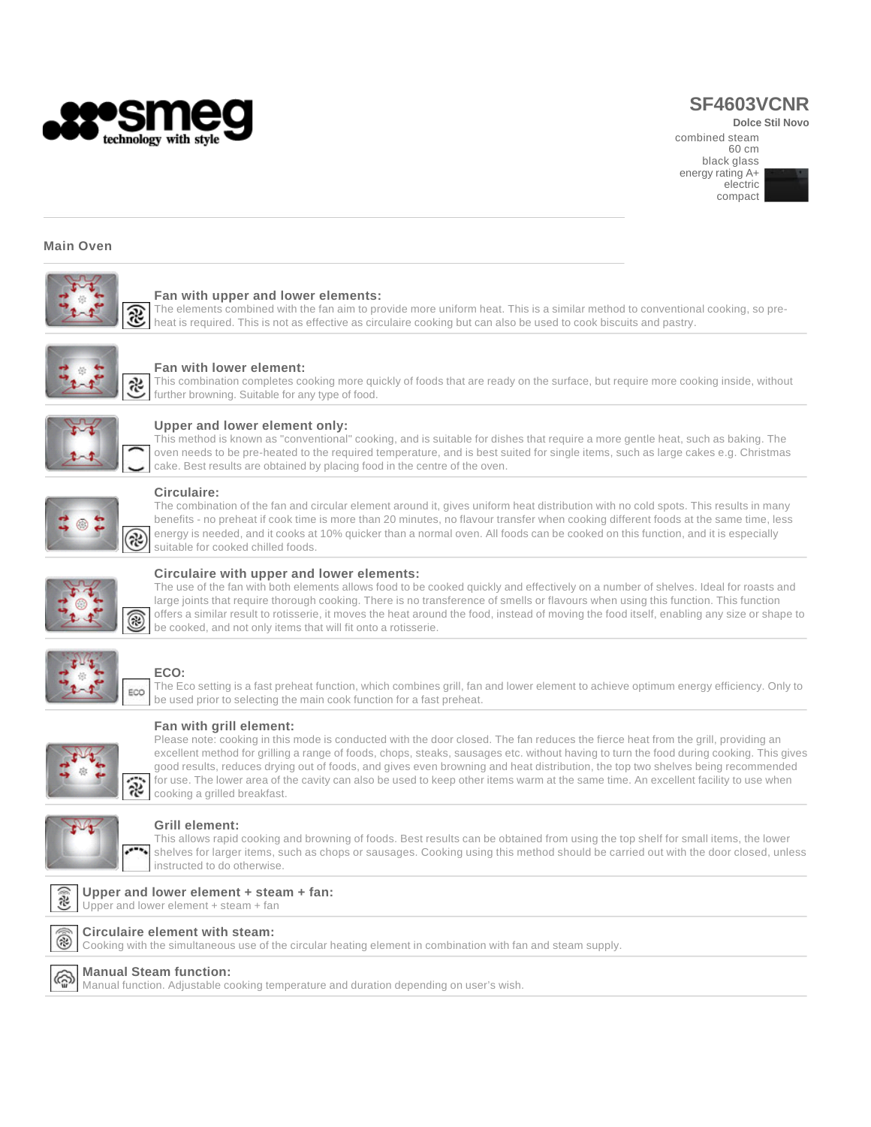

# **SF4603VCNR**

**Dolce Stil Novo** 

combined steam 60 cm black glass energy rating A+ electric compact



#### **Main Oven**



#### **Fan with upper and lower elements:**

The elements combined with the fan aim to provide more uniform heat. This is a similar method to conventional cooking, so preheat is required. This is not as effective as circulaire cooking but can also be used to cook biscuits and pastry.



#### **Fan with lower element:**

This combination completes cooking more quickly of foods that are ready on the surface, but require more cooking inside, without further browning. Suitable for any type of food.



#### **Upper and lower element only:**

This method is known as "conventional" cooking, and is suitable for dishes that require a more gentle heat, such as baking. The oven needs to be pre-heated to the required temperature, and is best suited for single items, such as large cakes e.g. Christmas cake. Best results are obtained by placing food in the centre of the oven.



#### **Circulaire:**

The combination of the fan and circular element around it, gives uniform heat distribution with no cold spots. This results in many benefits - no preheat if cook time is more than 20 minutes, no flavour transfer when cooking different foods at the same time, less energy is needed, and it cooks at 10% quicker than a normal oven. All foods can be cooked on this function, and it is especially suitable for cooked chilled foods.



#### **Circulaire with upper and lower elements:**

The use of the fan with both elements allows food to be cooked quickly and effectively on a number of shelves. Ideal for roasts and large joints that require thorough cooking. There is no transference of smells or flavours when using this function. This function offers a similar result to rotisserie, it moves the heat around the food, instead of moving the food itself, enabling any size or shape to be cooked, and not only items that will fit onto a rotisserie.



#### **ECO:**

The Eco setting is a fast preheat function, which combines grill, fan and lower element to achieve optimum energy efficiency. Only to be used prior to selecting the main cook function for a fast preheat.



### **Fan with grill element:**

Please note: cooking in this mode is conducted with the door closed. The fan reduces the fierce heat from the grill, providing an excellent method for grilling a range of foods, chops, steaks, sausages etc. without having to turn the food during cooking. This gives good results, reduces drying out of foods, and gives even browning and heat distribution, the top two shelves being recommended for use. The lower area of the cavity can also be used to keep other items warm at the same time. An excellent facility to use when cooking a grilled breakfast.



#### **Grill element:**

This allows rapid cooking and browning of foods. Best results can be obtained from using the top shelf for small items, the lower shelves for larger items, such as chops or sausages. Cooking using this method should be carried out with the door closed, unless instructed to do otherwise.



## Upper and lower element + steam + fan



**Circulaire element with steam:** Cooking with the simultaneous use of the circular heating element in combination with fan and steam supply.



### **Manual Steam function:**

Manual function. Adjustable cooking temperature and duration depending on user's wish.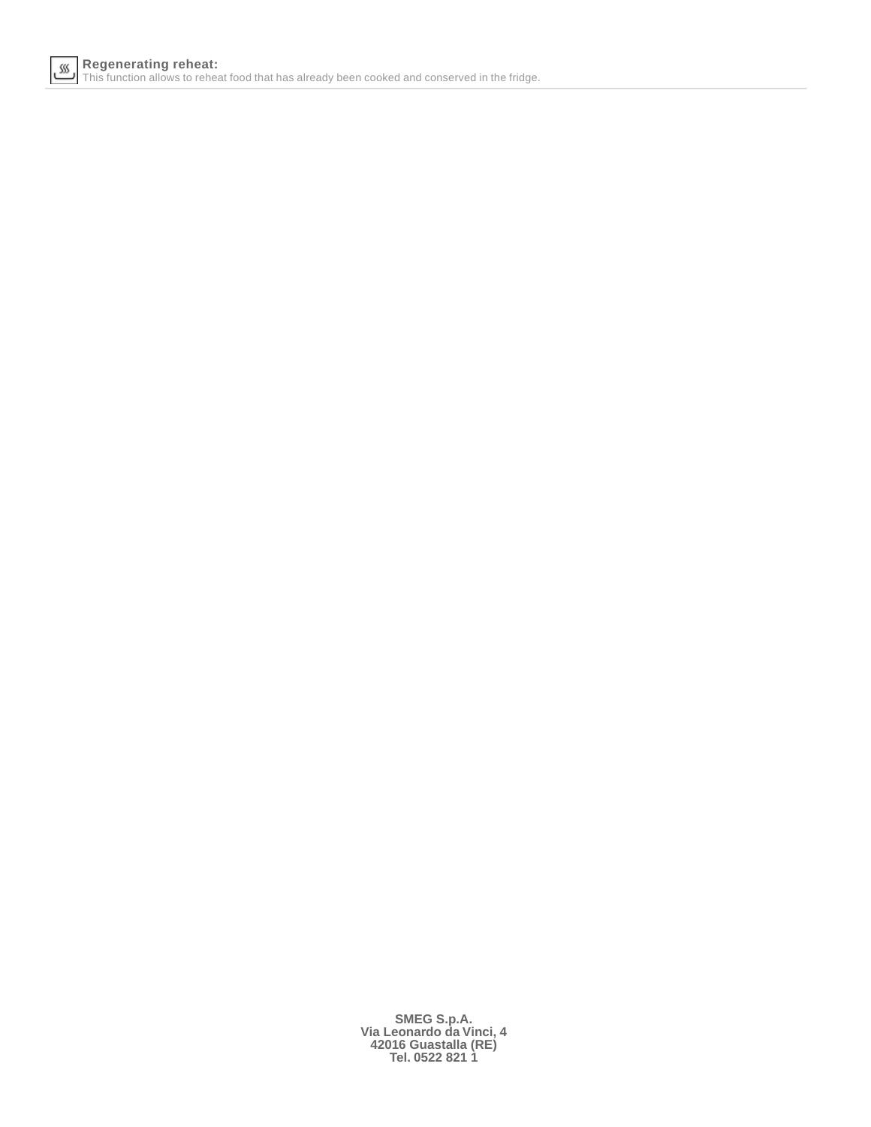

**SMEG S.p.A. Via Leonardo da Vinci, 4 42016 Guastalla (RE) Tel. 0522 821 1**